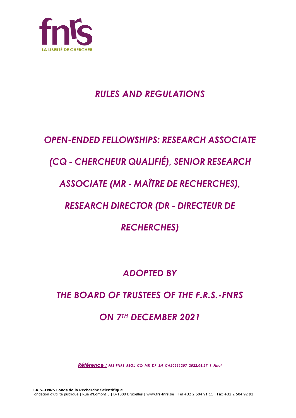

## *RULES AND REGULATIONS*

## *OPEN-ENDED FELLOWSHIPS: RESEARCH ASSOCIATE*

## *(CQ - CHERCHEUR QUALIFIÉ), SENIOR RESEARCH*

## *ASSOCIATE (MR - MAÎTRE DE RECHERCHES),*

## *RESEARCH DIRECTOR (DR - DIRECTEUR DE*

*RECHERCHES)*

## *ADOPTED BY*

# *THE BOARD OF TRUSTEES OF THE F.R.S.-FNRS ON 7TH DECEMBER 2021*

*Référence : FRS-FNRS\_REGL\_CQ\_MR\_DR\_EN\_CA20211207\_2022.06.27\_9\_Final*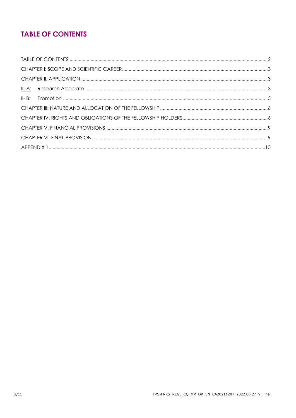### **TABLE OF CONTENTS**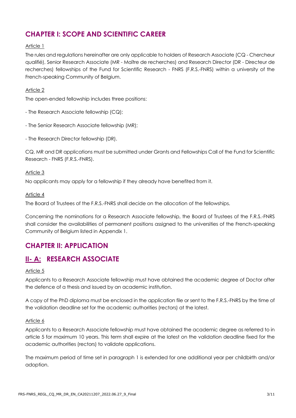### **CHAPTER I: SCOPE AND SCIENTIFIC CAREER**

### Article 1

The rules and regulations hereinafter are only applicable to holders of Research Associate (CQ - Chercheur qualifié), Senior Research Associate (MR - Maître de recherches) and Research Director (DR - Directeur de recherches) fellowships of the Fund for Scientific Research - FNRS (F.R.S.-FNRS) within a university of the French-speaking Community of Belgium.

### Article 2

The open-ended fellowship includes three positions:

- The Research Associate fellowship (CQ);
- The Senior Research Associate fellowship (MR);
- The Research Director fellowship (DR).

CQ, MR and DR applications must be submitted under Grants and Fellowships Call of the Fund for Scientific Research - FNRS (F.R.S.-FNRS).

### Article 3

No applicants may apply for a fellowship if they already have benefited from it.

### Article 4

The Board of Trustees of the F.R.S.-FNRS shall decide on the allocation of the fellowships.

Concerning the nominations for a Research Associate fellowship, the Board of Trustees of the F.R.S.-FNRS shall consider the availabilities of permanent positions assigned to the universities of the French-speaking Community of Belgium listed in Appendix 1.

### **CHAPTER II: APPLICATION**

### **II- A: RESEARCH ASSOCIATE**

### Article 5

Applicants to a Research Associate fellowship must have obtained the academic degree of Doctor after the defence of a thesis and issued by an academic institution.

A copy of the PhD diploma must be enclosed in the application file or sent to the F.R.S.-FNRS by the time of the validation deadline set for the academic authorities (rectors) at the latest.

### Article 6

Applicants to a Research Associate fellowship must have obtained the academic degree as referred to in article 5 for maximum 10 years. This term shall expire at the latest on the validation deadline fixed for the academic authorities (rectors) to validate applications.

The maximum period of time set in paragraph 1 is extended for one additional year per childbirth and/or adoption.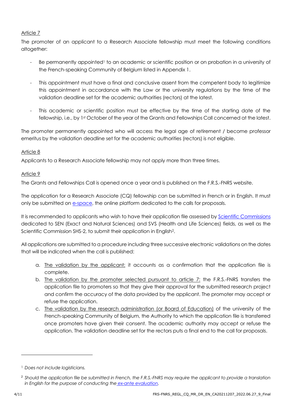### Article 7

The promoter of an applicant to a Research Associate fellowship must meet the following conditions altogether:

- Be permanently appointed<sup>1</sup> to an academic or scientific position or on probation in a university of the French-speaking Community of Belgium listed in Appendix 1.
- This appointment must have a final and conclusive assent from the competent body to legitimize this appointment in accordance with the Law or the university regulations by the time of the validation deadline set for the academic authorities (rectors) at the latest.
- This academic or scientific position must be effective by the time of the starting date of the fellowship, i.e., by 1st October of the year of the Grants and Fellowships Call concerned at the latest.

The promoter permanently appointed who will access the legal age of retirement / become professor emeritus by the validation deadline set for the academic authorities (rectors) is not eligible.

### Article 8

Applicants to a Research Associate fellowship may not apply more than three times.

### Article 9

The Grants and Fellowships Call is opened once a year and is published on the F.R.S.-FNRS website.

The application for a Research Associate (CQ) fellowship can be submitted in French or in English. It must only be submitted on [e-space,](https://e-space.frs-fnrs.be/) the online platform dedicated to the calls for proposals.

It is recommended to applicants who wish to have their application file assessed by [Scientific Commissions](https://www.frs-fnrs.be/docs/Reglement-et-documents/FRS-FNRS_Champs_descripteurs.pdf) dedicated to SEN (Exact and Natural Sciences) and SVS (Health and Life Sciences) fields, as well as the Scientific Commission SHS-2, to submit their application in English2.

All applications are submitted to a procedure including three successive electronic validations on the dates that will be indicated when the call is published:

- a. The validation by the applicant: it accounts as a confirmation that the application file is complete.
- b. The validation by the promoter selected pursuant to article 7: the F.R.S.-FNRS transfers the application file to promoters so that they give their approval for the submitted research project and confirm the accuracy of the data provided by the applicant. The promoter may accept or refuse the application.
- c. The validation by the research administration (or Board of Education) of the university of the French-speaking Community of Belgium, the Authority to which the application file is transferred once promoters have given their consent. The academic authority may accept or refuse the application. The validation deadline set for the rectors puts a final end to the call for proposals.

<sup>1</sup> *Does not include logisticians.*

<sup>2</sup> *Should the application file be submitted in French, the F.R.S.-FNRS may require the applicant to provide a translation in English for the purpose of conducting the [ex-ante evaluation.](https://www.frs-fnrs.be/docs/Reglement-et-documents/FRS-FNRS_Guide_Evaluation_EN.pdf)*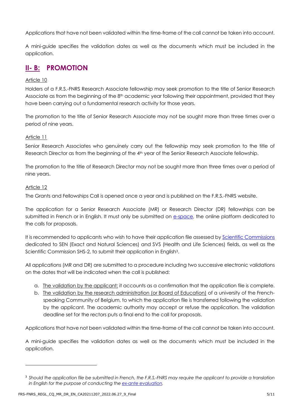Applications that have not been validated within the time-frame of the call cannot be taken into account.

A mini-guide specifies the validation dates as well as the documents which must be included in the application.

### **II- B: PROMOTION**

### Article 10

Holders of a F.R.S.-FNRS Research Associate fellowship may seek promotion to the title of Senior Research Associate as from the beginning of the  $8<sup>th</sup>$  academic year following their appointment, provided that they have been carrying out a fundamental research activity for those years.

The promotion to the title of Senior Research Associate may not be sought more than three times over a period of nine years.

### Article 11

Senior Research Associates who genuinely carry out the fellowship may seek promotion to the title of Research Director as from the beginning of the 4<sup>th</sup> year of the Senior Research Associate fellowship.

The promotion to the title of Research Director may not be sought more than three times over a period of nine years.

### Article 12

The Grants and Fellowships Call is opened once a year and is published on the F.R.S.-FNRS website.

The application for a Senior Research Associate (MR) or Research Director (DR) fellowships can be submitted in French or in English. It must only be submitted on [e-space,](https://e-space.frs-fnrs.be/) the online platform dedicated to the calls for proposals.

It is recommended to applicants who wish to have their application file assessed by [Scientific Commissions](https://www.frs-fnrs.be/docs/Reglement-et-documents/FRS-FNRS_Champs_descripteurs.pdf) dedicated to SEN (Exact and Natural Sciences) and SVS (Health and Life Sciences) fields, as well as the Scientific Commission SHS-2, to submit their application in English<sup>3</sup>.

All applications (MR and DR) are submitted to a procedure including two successive electronic validations on the dates that will be indicated when the call is published:

- a. The validation by the applicant: it accounts as a confirmation that the application file is complete.
- b. The validation by the research administration (or Board of Education) of a university of the Frenchspeaking Community of Belgium, to which the application file is transferred following the validation by the applicant. The academic authority may accept or refuse the application. The validation deadline set for the rectors puts a final end to the call for proposals.

Applications that have not been validated within the time-frame of the call cannot be taken into account.

A mini-guide specifies the validation dates as well as the documents which must be included in the application.

<sup>3</sup> *Should the application file be submitted in French, the F.R.S.-FNRS may require the applicant to provide a translation in English for the purpose of conducting the [ex-ante evaluation.](https://www.frs-fnrs.be/docs/Reglement-et-documents/FRS-FNRS_Guide_Evaluation_FR.pdf)*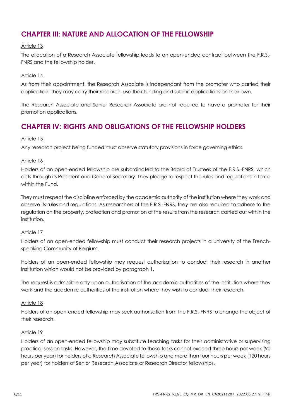### **CHAPTER III: NATURE AND ALLOCATION OF THE FELLOWSHIP**

### Article 13

The allocation of a Research Associate fellowship leads to an open-ended contract between the F.R.S.- FNRS and the fellowship holder.

### Article 14

As from their appointment, the Research Associate is independant from the promoter who carried their application. They may carry their research, use their funding and submit applications on their own.

The Research Associate and Senior Research Associate are not required to have a promoter for their promotion applications.

### **CHAPTER IV: RIGHTS AND OBLIGATIONS OF THE FELLOWSHIP HOLDERS**

### Article 15

Any research project being funded must observe statutory provisions in force governing ethics.

### Article 16

Holders of an open-ended fellowship are subordinated to the Board of Trustees of the F.R.S.-FNRS, which acts through its President and General Secretary. They pledge to respect the rules and regulations in force within the Fund.

They must respect the discipline enforced by the academic authority of the institution where they work and observe its rules and regulations. As researchers of the F.R.S.-FNRS, they are also required to adhere to the regulation on the property, protection and promotion of the results from the research carried out within the institution.

#### Article 17

Holders of an open-ended fellowship must conduct their research projects in a university of the Frenchspeaking Community of Belgium.

Holders of an open-ended fellowship may request authorisation to conduct their research in another institution which would not be provided by paragraph 1.

The request is admissible only upon authorisation of the academic authorities of the institution where they work and the academic authorities of the institution where they wish to conduct their research.

#### Article 18

Holders of an open-ended fellowship may seek authorisation from the F.R.S.-FNRS to change the object of their research.

#### Article 19

Holders of an open-ended fellowship may substitute teaching tasks for their administrative or supervising practical session tasks. However, the time devoted to those tasks cannot exceed three hours per week (90 hours per year) for holders of a Research Associate fellowship and more than four hours per week (120 hours per year) for holders of Senior Research Associate or Research Director fellowships.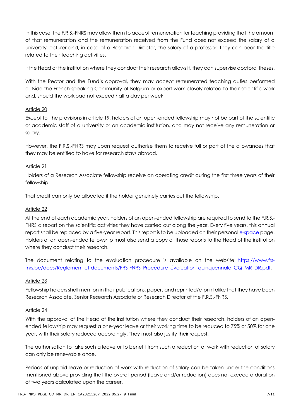In this case, the F.R.S.-FNRS may allow them to accept remuneration for teaching providing that the amount of that remuneration and the remuneration received from the Fund does not exceed the salary of a university lecturer and, in case of a Research Director, the salary of a professor. They can bear the title related to their teaching activities.

If the Head of the institution where they conduct their research allows it, they can supervise doctoral theses.

With the Rector and the Fund's approval, they may accept remunerated teaching duties performed outside the French-speaking Community of Belgium or expert work closely related to their scientific work and, should the workload not exceed half a day per week.

### Article 20

Except for the provisions in article 19, holders of an open-ended fellowship may not be part of the scientific or academic staff of a university or an academic institution, and may not receive any remuneration or salary.

However, the F.R.S.-FNRS may upon request authorise them to receive full or part of the allowances that they may be entitled to have for research stays abroad.

### Article 21

Holders of a Research Associate fellowship receive an operating credit during the first three years of their fellowship.

That credit can only be allocated if the holder genuinely carries out the fellowship.

#### Article 22

At the end of each academic year, holders of an open-ended fellowship are required to send to the F.R.S.- FNRS a report on the scientific activities they have carried out along the year. Every five years, this annual report shall be replaced by a five-year report. This report is to be uploaded on their personal e[-space](https://e-space.frs-fnrs.be/) page. Holders of an open-ended fellowship must also send a copy of those reports to the Head of the institution where they conduct their research.

The document relating to the evaluation procedure is available on the website [https://www.frs](https://www.frs-fnrs.be/docs/Reglement-et-documents/FRS-FNRS_Procédure_évaluation_quinquennale_CQ_MR_DR.pdf)[fnrs.be/docs/Reglement-et-documents/FRS-FNRS\\_Procédure\\_évaluation\\_quinquennale\\_CQ\\_MR\\_DR.pdf.](https://www.frs-fnrs.be/docs/Reglement-et-documents/FRS-FNRS_Procédure_évaluation_quinquennale_CQ_MR_DR.pdf)

#### Article 23

Fellowship holders shall mention in their publications, papers and reprinted/e-print alike that they have been Research Associate, Senior Research Associate or Research Director of the F.R.S.-FNRS.

#### Article 24

With the approval of the Head of the institution where they conduct their research, holders of an openended fellowship may request a one-year leave or their working time to be reduced to 75% or 50% for one year, with their salary reduced accordingly. They must also justify their request.

The authorisation to take such a leave or to benefit from such a reduction of work with reduction of salary can only be renewable once.

Periods of unpaid leave or reduction of work with reduction of salary can be taken under the conditions mentioned above providing that the overall period (leave and/or reduction) does not exceed a duration of two years calculated upon the career.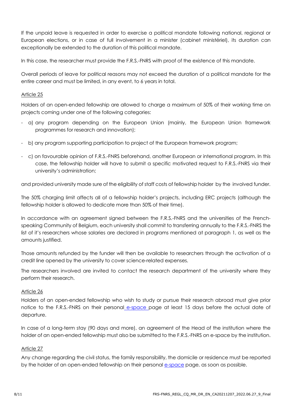If the unpaid leave is requested in order to exercise a political mandate following national, regional or European elections, or in case of full involvement in a minister (cabinet ministériel), its duration can exceptionally be extended to the duration of this political mandate.

In this case, the researcher must provide the F.R.S.-FNRS with proof of the existence of this mandate.

Overall periods of leave for political reasons may not exceed the duration of a political mandate for the entire career and must be limited, in any event, to 6 years in total.

### Article 25

Holders of an open-ended fellowship are allowed to charge a maximum of 50% of their working time on projects coming under one of the following categories:

- a) any program depending on the European Union (mainly, the European Union framework programmes for research and innovation);
- b) any program supporting participation to project of the European framework program;
- c) on favourable opinion of F.R.S.-FNRS beforehand, another European or international program. In this case, the fellowship holder will have to submit a specific motivated request to F.R.S.-FNRS via their university's administration;

and provided university made sure of the eligibility of staff costs of fellowship holder by the involved funder.

The 50% charging limit affects all of a fellowship holder's projects, including ERC projects (although the fellowship holder is allowed to dedicate more than 50% of their time).

In accordance with an agreement signed between the F.R.S.-FNRS and the universities of the Frenchspeaking Community of Belgium, each university shall commit to transferring annually to the F.R.S.-FNRS the list of it's researchers whose salaries are declared in programs mentioned at paragraph 1, as well as the amounts justified.

Those amounts refunded by the funder will then be available to researchers through the activation of a credit line opened by the university to cover science-related expenses.

The researchers involved are invited to contact the research department of the university where they perform their research.

#### Article 26

Holders of an open-ended fellowship who wish to study or pursue their research abroad must give prior notice to the F.R.S.-FNRS on their personal e[-space](https://e-space.frs-fnrs.be/) page at least 15 days before the actual date of departure.

In case of a long-term stay (90 days and more), an agreement of the Head of the institution where the holder of an open-ended fellowship must also be submitted to the F.R.S.-FNRS on e-space by the institution.

#### Article 27

Any change regarding the civil status, the family responsibility, the domicile or residence must be reported by the holder of an open-ended fellowship on their personal e[-space](https://e-space.frs-fnrs.be/) page, as soon as possible.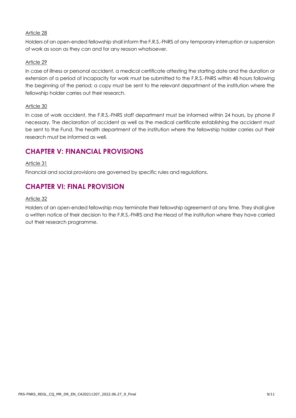### Article 28

Holders of an open-ended fellowship shall inform the F.R.S.-FNRS of any temporary interruption or suspension of work as soon as they can and for any reason whatsoever.

### Article 29

In case of illness or personal accident, a medical certificate attesting the starting date and the duration or extension of a period of incapacity for work must be submitted to the F.R.S.-FNRS within 48 hours following the beginning of the period; a copy must be sent to the relevant department of the institution where the fellowship holder carries out their research.

### Article 30

In case of work accident, the F.R.S.-FNRS staff department must be informed within 24 hours, by phone if necessary. The declaration of accident as well as the medical certificate establishing the accident must be sent to the Fund. The health department of the institution where the fellowship holder carries out their research must be informed as well.

### **CHAPTER V: FINANCIAL PROVISIONS**

### Article 31

Financial and social provisions are governed by specific rules and regulations.

### **CHAPTER VI: FINAL PROVISION**

### Article 32

Holders of an open-ended fellowship may terminate their fellowship agreement at any time. They shall give a written notice of their decision to the F.R.S.-FNRS and the Head of the institution where they have carried out their research programme.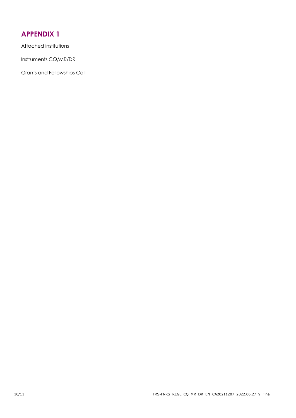### **APPENDIX 1**

Attached institutions

Instruments CQ/MR/DR

Grants and Fellowships Call